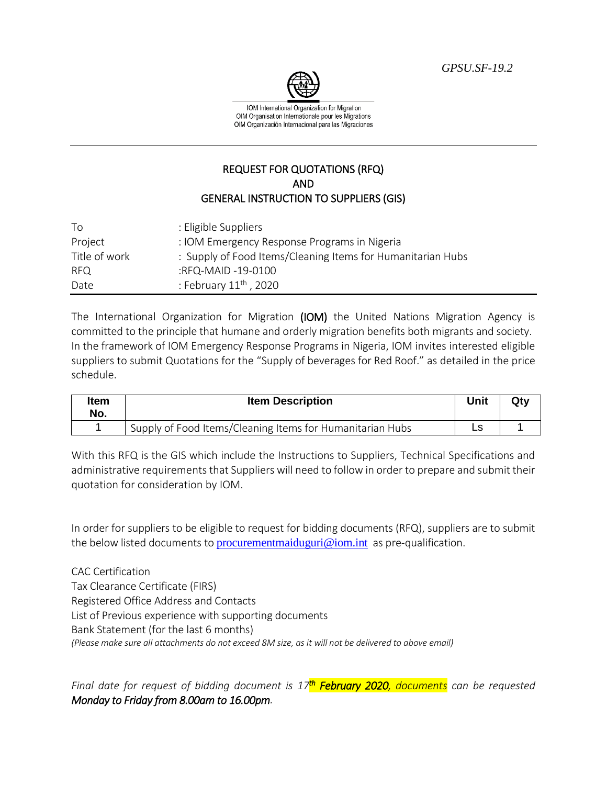*GPSU.SF-19.2*



IOM International Organization for Migration OIM Organisation Internationale pour les Migrations OIM Organización Internacional para las Migraciones

## REQUEST FOR QUOTATIONS (RFQ) AND GENERAL INSTRUCTION TO SUPPLIERS (GIS)

| To            | : Eligible Suppliers                                        |
|---------------|-------------------------------------------------------------|
| Project       | : IOM Emergency Response Programs in Nigeria                |
| Title of work | : Supply of Food Items/Cleaning Items for Humanitarian Hubs |
| RFQ.          | :RFQ-MAID -19-0100                                          |
| Date          | : February $11^{\text{th}}$ , 2020                          |

The International Organization for Migration (IOM) the United Nations Migration Agency is committed to the principle that humane and orderly migration benefits both migrants and society. In the framework of IOM Emergency Response Programs in Nigeria, IOM invites interested eligible suppliers to submit Quotations for the "Supply of beverages for Red Roof." as detailed in the price schedule.

| Item<br>No. | <b>Item Description</b>                                   | Unit | Qty |
|-------------|-----------------------------------------------------------|------|-----|
|             | Supply of Food Items/Cleaning Items for Humanitarian Hubs |      |     |

With this RFQ is the GIS which include the Instructions to Suppliers, Technical Specifications and administrative requirements that Suppliers will need to follow in order to prepare and submit their quotation for consideration by IOM.

In order for suppliers to be eligible to request for bidding documents (RFQ), suppliers are to submit the below listed documents to **[procurementmaiduguri@iom.int](mailto:procurementmaiduguri@iom.int)** as pre-qualification.

CAC Certification Tax Clearance Certificate (FIRS) Registered Office Address and Contacts List of Previous experience with supporting documents Bank Statement (for the last 6 months) *(Please make sure all attachments do not exceed 8M size, as it will not be delivered to above email)* 

*Final date for request of bidding document is 17th February 2020, documents can be requested Monday to Friday from 8.00am to 16.00pm.*